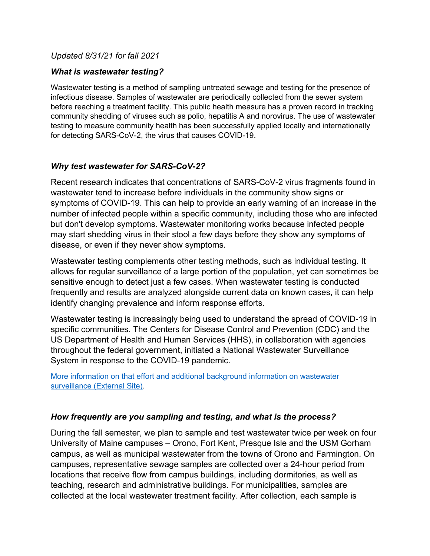#### *Updated 8/31/21 for fall 2021*

#### *What is wastewater testing?*

Wastewater testing is a method of sampling untreated sewage and testing for the presence of infectious disease. Samples of wastewater are periodically collected from the sewer system before reaching a treatment facility. This public health measure has a proven record in tracking community shedding of viruses such as polio, hepatitis A and norovirus. The use of wastewater testing to measure community health has been successfully applied locally and internationally for detecting SARS-CoV-2, the virus that causes COVID-19.

#### *Why test wastewater for SARS-CoV-2?*

Recent research indicates that concentrations of SARS-CoV-2 virus fragments found in wastewater tend to increase before individuals in the community show signs or symptoms of COVID-19. This can help to provide an early warning of an increase in the number of infected people within a specific community, including those who are infected but don't develop symptoms. Wastewater monitoring works because infected people may start shedding virus in their stool a few days before they show any symptoms of disease, or even if they never show symptoms.

Wastewater testing complements other testing methods, such as individual testing. It allows for regular surveillance of a large portion of the population, yet can sometimes be sensitive enough to detect just a few cases. When wastewater testing is conducted frequently and results are analyzed alongside current data on known cases, it can help identify changing prevalence and inform response efforts.

Wastewater testing is increasingly being used to understand the spread of COVID-19 in specific communities. The Centers for Disease Control and Prevention (CDC) and the US Department of Health and Human Services (HHS), in collaboration with agencies throughout the federal government, initiated a National Wastewater Surveillance System in response to the COVID-19 pandemic.

More information on that effort and additional background information on wastewater surveillance (External Site).

# *How frequently are you sampling and testing, and what is the process?*

During the fall semester, we plan to sample and test wastewater twice per week on four University of Maine campuses – Orono, Fort Kent, Presque Isle and the USM Gorham campus, as well as municipal wastewater from the towns of Orono and Farmington. On campuses, representative sewage samples are collected over a 24-hour period from locations that receive flow from campus buildings, including dormitories, as well as teaching, research and administrative buildings. For municipalities, samples are collected at the local wastewater treatment facility. After collection, each sample is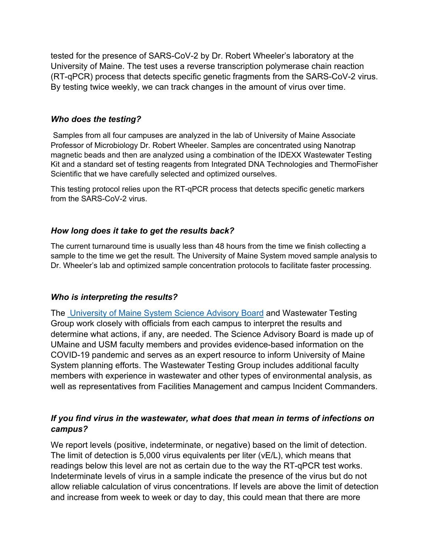tested for the presence of SARS-CoV-2 by Dr. Robert Wheeler's laboratory at the University of Maine. The test uses a reverse transcription polymerase chain reaction (RT-qPCR) process that detects specific genetic fragments from the SARS-CoV-2 virus. By testing twice weekly, we can track changes in the amount of virus over time.

#### *Who does the testing?*

Samples from all four campuses are analyzed in the lab of University of Maine Associate Professor of Microbiology Dr. Robert Wheeler. Samples are concentrated using Nanotrap magnetic beads and then are analyzed using a combination of the IDEXX Wastewater Testing Kit and a standard set of testing reagents from Integrated DNA Technologies and ThermoFisher Scientific that we have carefully selected and optimized ourselves.

This testing protocol relies upon the RT-qPCR process that detects specific genetic markers from the SARS-CoV-2 virus.

# *How long does it take to get the results back?*

The current turnaround time is usually less than 48 hours from the time we finish collecting a sample to the time we get the result. The University of Maine System moved sample analysis to Dr. Wheeler's lab and optimized sample concentration protocols to facilitate faster processing.

# *Who is interpreting the results?*

The University of Maine System Science Advisory Board and Wastewater Testing Group work closely with officials from each campus to interpret the results and determine what actions, if any, are needed. The Science Advisory Board is made up of UMaine and USM faculty members and provides evidence-based information on the COVID-19 pandemic and serves as an expert resource to inform University of Maine System planning efforts. The Wastewater Testing Group includes additional faculty members with experience in wastewater and other types of environmental analysis, as well as representatives from Facilities Management and campus Incident Commanders.

# *If you find virus in the wastewater, what does that mean in terms of infections on campus?*

We report levels (positive, indeterminate, or negative) based on the limit of detection. The limit of detection is 5,000 virus equivalents per liter (vE/L), which means that readings below this level are not as certain due to the way the RT-qPCR test works. Indeterminate levels of virus in a sample indicate the presence of the virus but do not allow reliable calculation of virus concentrations. If levels are above the limit of detection and increase from week to week or day to day, this could mean that there are more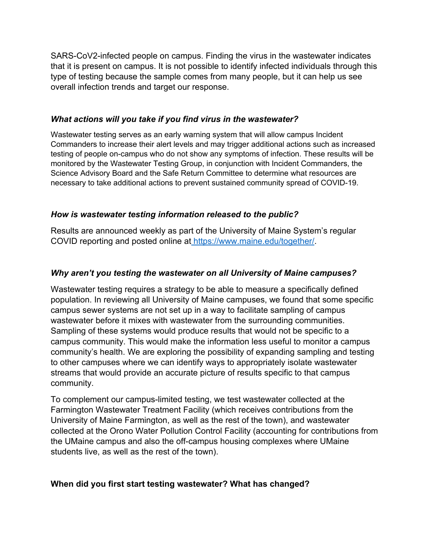SARS-CoV2-infected people on campus. Finding the virus in the wastewater indicates that it is present on campus. It is not possible to identify infected individuals through this type of testing because the sample comes from many people, but it can help us see overall infection trends and target our response.

#### *What actions will you take if you find virus in the wastewater?*

Wastewater testing serves as an early warning system that will allow campus Incident Commanders to increase their alert levels and may trigger additional actions such as increased testing of people on-campus who do not show any symptoms of infection. These results will be monitored by the Wastewater Testing Group, in conjunction with Incident Commanders, the Science Advisory Board and the Safe Return Committee to determine what resources are necessary to take additional actions to prevent sustained community spread of COVID-19.

# *How is wastewater testing information released to the public?*

Results are announced weekly as part of the University of Maine System's regular COVID reporting and posted online at https://www.maine.edu/together/.

# *Why aren't you testing the wastewater on all University of Maine campuses?*

Wastewater testing requires a strategy to be able to measure a specifically defined population. In reviewing all University of Maine campuses, we found that some specific campus sewer systems are not set up in a way to facilitate sampling of campus wastewater before it mixes with wastewater from the surrounding communities. Sampling of these systems would produce results that would not be specific to a campus community. This would make the information less useful to monitor a campus community's health. We are exploring the possibility of expanding sampling and testing to other campuses where we can identify ways to appropriately isolate wastewater streams that would provide an accurate picture of results specific to that campus community.

To complement our campus-limited testing, we test wastewater collected at the Farmington Wastewater Treatment Facility (which receives contributions from the University of Maine Farmington, as well as the rest of the town), and wastewater collected at the Orono Water Pollution Control Facility (accounting for contributions from the UMaine campus and also the off-campus housing complexes where UMaine students live, as well as the rest of the town).

# **When did you first start testing wastewater? What has changed?**